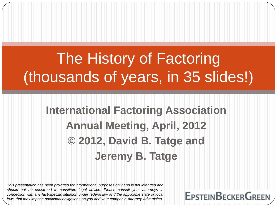# The History of Factoring (thousands of years, in 35 slides!)

#### **International Factoring Association Annual Meeting, April, 2012 © 2012, David B. Tatge and Jeremy B. Tatge**

*This presentation has been provided for informational purposes only and is not intended and should not be construed to constitute legal advice. Please consult your attorneys in connection with any fact-specific situation under federal law and the applicable state or local laws that may impose additional obligations on you and your company. Attorney Advertising*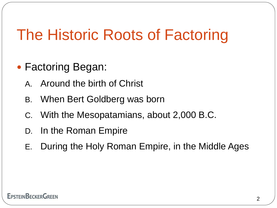# The Historic Roots of Factoring

- Factoring Began:
	- A. Around the birth of Christ
	- B. When Bert Goldberg was born
	- C. With the Mesopatamians, about 2,000 B.C.
	- D. In the Roman Empire
	- E. During the Holy Roman Empire, in the Middle Ages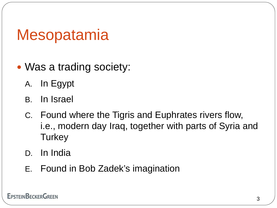# **Mesopatamia**

- Was a trading society:
	- A. In Egypt
	- B. In Israel
	- C. Found where the Tigris and Euphrates rivers flow, i.e., modern day Iraq, together with parts of Syria and **Turkey**
	- D. In India
	- E. Found in Bob Zadek's imagination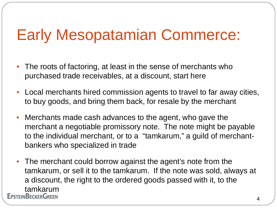# Early Mesopatamian Commerce:

- The roots of factoring, at least in the sense of merchants who purchased trade receivables, at a discount, start here
- Local merchants hired commission agents to travel to far away cities, to buy goods, and bring them back, for resale by the merchant
- Merchants made cash advances to the agent, who gave the merchant a negotiable promissory note. The note might be payable to the individual merchant, or to a "tamkarum," a guild of merchantbankers who specialized in trade
- The merchant could borrow against the agent's note from the tamkarum, or sell it to the tamkarum. If the note was sold, always at a discount, the right to the ordered goods passed with it, to the tamkarum<br>EpsteinBeckerGreen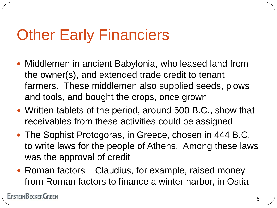# **Other Early Financiers**

- Middlemen in ancient Babylonia, who leased land from the owner(s), and extended trade credit to tenant farmers. These middlemen also supplied seeds, plows and tools, and bought the crops, once grown
- Written tablets of the period, around 500 B.C., show that receivables from these activities could be assigned
- The Sophist Protogoras, in Greece, chosen in 444 B.C. to write laws for the people of Athens. Among these laws was the approval of credit
- Roman factors Claudius, for example, raised money from Roman factors to finance a winter harbor, in Ostia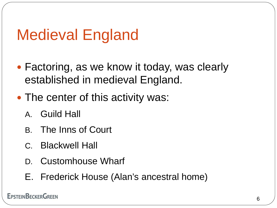# Medieval England

- Factoring, as we know it today, was clearly established in medieval England.
- The center of this activity was:
	- A. Guild Hall
	- B. The Inns of Court
	- C. Blackwell Hall
	- D. Customhouse Wharf
	- E. Frederick House (Alan's ancestral home)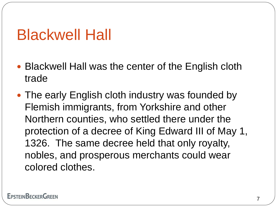### Blackwell Hall

- Blackwell Hall was the center of the English cloth trade
- The early English cloth industry was founded by Flemish immigrants, from Yorkshire and other Northern counties, who settled there under the protection of a decree of King Edward III of May 1, 1326. The same decree held that only royalty, nobles, and prosperous merchants could wear colored clothes.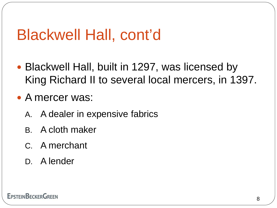- Blackwell Hall, built in 1297, was licensed by King Richard II to several local mercers, in 1397.
- A mercer was:
	- A. A dealer in expensive fabrics
	- B. A cloth maker
	- C. A merchant
	- D. A lender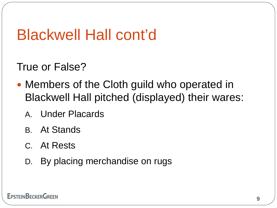True or False?

- Members of the Cloth guild who operated in Blackwell Hall pitched (displayed) their wares:
	- A. Under Placards
	- B. At Stands
	- C. At Rests
	- D. By placing merchandise on rugs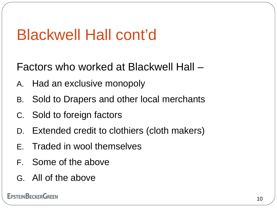Factors who worked at Blackwell Hall –

- A. Had an exclusive monopoly
- B. Sold to Drapers and other local merchants
- C. Sold to foreign factors
- D. Extended credit to clothiers (cloth makers)
- E. Traded in wool themselves
- F. Some of the above
- G. All of the above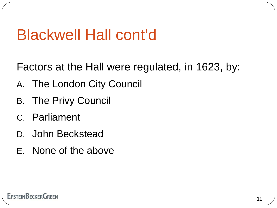Factors at the Hall were regulated, in 1623, by:

- A. The London City Council
- B. The Privy Council
- C. Parliament
- D. John Beckstead
- E. None of the above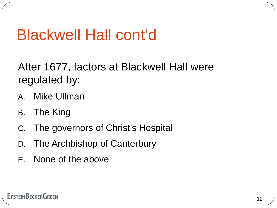After 1677, factors at Blackwell Hall were regulated by:

- A. Mike Ullman
- B. The King
- C. The governors of Christ's Hospital
- D. The Archbishop of Canterbury
- E. None of the above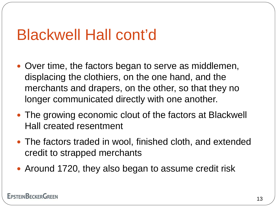- Over time, the factors began to serve as middlemen, displacing the clothiers, on the one hand, and the merchants and drapers, on the other, so that they no longer communicated directly with one another.
- The growing economic clout of the factors at Blackwell Hall created resentment
- The factors traded in wool, finished cloth, and extended credit to strapped merchants
- Around 1720, they also began to assume credit risk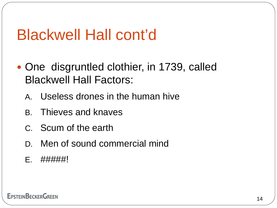- One disgruntled clothier, in 1739, called Blackwell Hall Factors:
	- A. Useless drones in the human hive
	- B. Thieves and knaves
	- C. Scum of the earth
	- D. Men of sound commercial mind
	- E. #####!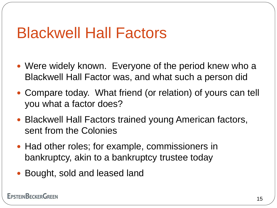#### Blackwell Hall Factors

- Were widely known. Everyone of the period knew who a Blackwell Hall Factor was, and what such a person did
- Compare today. What friend (or relation) of yours can tell you what a factor does?
- Blackwell Hall Factors trained young American factors, sent from the Colonies
- Had other roles; for example, commissioners in bankruptcy, akin to a bankruptcy trustee today
- Bought, sold and leased land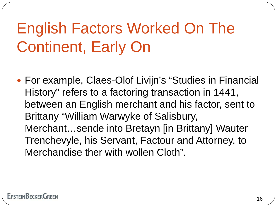# English Factors Worked On The Continent, Early On

 For example, Claes-Olof Livijn's "Studies in Financial History" refers to a factoring transaction in 1441, between an English merchant and his factor, sent to Brittany "William Warwyke of Salisbury, Merchant…sende into Bretayn [in Brittany] Wauter Trenchevyle, his Servant, Factour and Attorney, to Merchandise ther with wollen Cloth".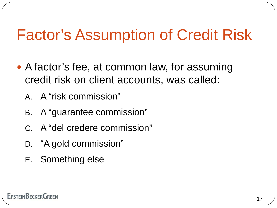# Factor's Assumption of Credit Risk

- A factor's fee, at common law, for assuming credit risk on client accounts, was called:
	- A. A "risk commission"
	- B. A "guarantee commission"
	- C. A "del credere commission"
	- D. "A gold commission"
	- E. Something else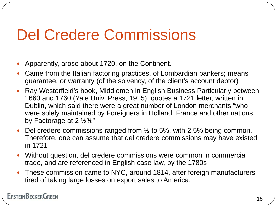# Del Credere Commissions

- Apparently, arose about 1720, on the Continent.
- Came from the Italian factoring practices, of Lombardian bankers; means guarantee, or warranty (of the solvency, of the client's account debtor)
- Ray Westerfield's book, Middlemen in English Business Particularly between 1660 and 1760 (Yale Univ. Press, 1915), quotes a 1721 letter, written in Dublin, which said there were a great number of London merchants "who were solely maintained by Foreigners in Holland, France and other nations by Factorage at 2 ½%"
- Del credere commissions ranged from  $\frac{1}{2}$  to 5%, with 2.5% being common. Therefore, one can assume that del credere commissions may have existed in 1721
- Without question, del credere commissions were common in commercial trade, and are referenced in English case law, by the 1780s
- These commission came to NYC, around 1814, after foreign manufacturers tired of taking large losses on export sales to America.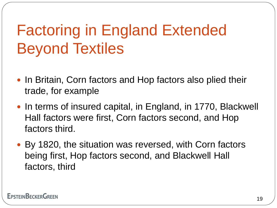# Factoring in England Extended Beyond Textiles

- In Britain, Corn factors and Hop factors also plied their trade, for example
- In terms of insured capital, in England, in 1770, Blackwell Hall factors were first, Corn factors second, and Hop factors third.
- By 1820, the situation was reversed, with Corn factors being first, Hop factors second, and Blackwell Hall factors, third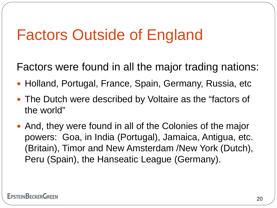# Factors Outside of England

Factors were found in all the major trading nations:

- Holland, Portugal, France, Spain, Germany, Russia, etc
- The Dutch were described by Voltaire as the "factors of the world"
- And, they were found in all of the Colonies of the major powers: Goa, in India (Portugal), Jamaica, Antigua, etc. (Britain), Timor and New Amsterdam /New York (Dutch), Peru (Spain), the Hanseatic League (Germany).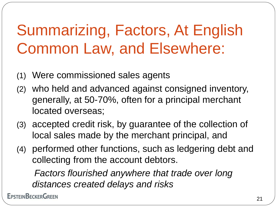# Summarizing, Factors, At English Common Law, and Elsewhere:

- (1) Were commissioned sales agents
- (2) who held and advanced against consigned inventory, generally, at 50-70%, often for a principal merchant located overseas;
- (3) accepted credit risk, by guarantee of the collection of local sales made by the merchant principal, and
- (4) performed other functions, such as ledgering debt and collecting from the account debtors.

 *Factors flourished anywhere that trade over long distances created delays and risks*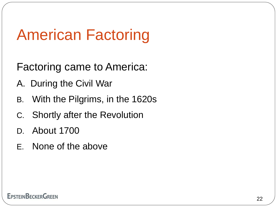# American Factoring

Factoring came to America:

- A. During the Civil War
- B. With the Pilgrims, in the 1620s
- C. Shortly after the Revolution
- D. About 1700
- E. None of the above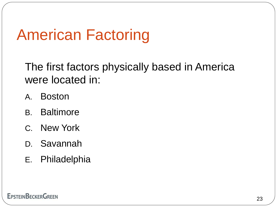# American Factoring

The first factors physically based in America were located in:

- A. Boston
- B. Baltimore
- C. New York
- D. Savannah
- E. Philadelphia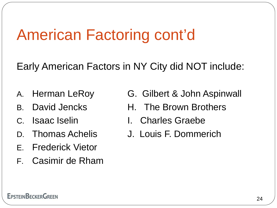# American Factoring cont'd

Early American Factors in NY City did NOT include:

- 
- 
- 
- 
- E. Frederick Vietor
- F. Casimir de Rham
- A. Herman LeRoy G. Gilbert & John Aspinwall
- B. David Jencks H. The Brown Brothers
- C. Isaac Iselin I. Charles Graebe
- D. Thomas Achelis J. Louis F. Dommerich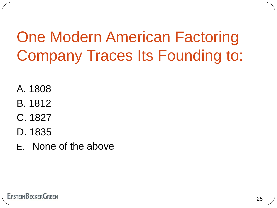# One Modern American Factoring Company Traces Its Founding to:

- A. 1808
- B. 1812
- C. 1827
- D. 1835
- E. None of the above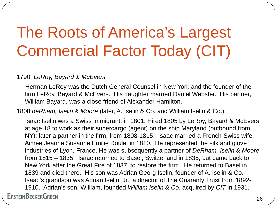# The Roots of America's Largest Commercial Factor Today (CIT)

#### 1790: *LeRoy, Bayard & McEvers*

 Herman LeRoy was the Dutch General Counsel in New York and the founder of the firm LeRoy, Bayard & McEvers. His daughter married Daniel Webster. His partner, William Bayard, was a close friend of Alexander Hamilton.

1808 *deRham, Iselin & Moore* (later, A. Iselin & Co. and William Iselin & Co.)

 Isaac Iselin was a Swiss immigrant, in 1801. Hired 1805 by LeRoy, Bayard & McEvers at age 18 to work as their supercargo (agent) on the ship Maryland (outbound from NY); later a partner in the firm, from 1808-1815. Isaac married a French-Swiss wife, Aimee Jeanne Susanne Emilie Roulet in 1810. He represented the silk and glove industries of Lyon, France. He was subsequently a partner of *DeRham, Iselin & Moore* from 1815 – 1835. Isaac returned to Basel, Switzerland in 1835, but came back to New York after the Great Fire of 1837, to restore the firm. He returned to Basel in 1839 and died there. His son was Adrian Georg Iselin, founder of A. Iselin & Co. Isaac's grandson was Adrian Iselin, Jr., a director of The Guaranty Trust from 1892- 1910. Adrian's son, William, founded *William Iselin & Co*, acquired by *CIT* in 1931.**EPSTEINBECKERGREEN**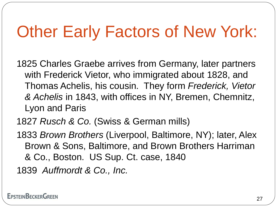# Other Early Factors of New York:

1825 Charles Graebe arrives from Germany, later partners with Frederick Vietor, who immigrated about 1828, and Thomas Achelis, his cousin. They form *Frederick, Vietor & Achelis* in 1843, with offices in NY, Bremen, Chemnitz, Lyon and Paris

- 1827 *Rusch & Co.* (Swiss & German mills)
- 1833 *Brown Brothers* (Liverpool, Baltimore, NY); later, Alex Brown & Sons, Baltimore, and Brown Brothers Harriman & Co., Boston. US Sup. Ct. case, 1840

1839 *Auffmordt & Co., Inc.*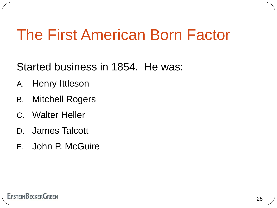### The First American Born Factor

Started business in 1854. He was:

- A. Henry Ittleson
- B. Mitchell Rogers
- C. Walter Heller
- D. James Talcott
- E. John P. McGuire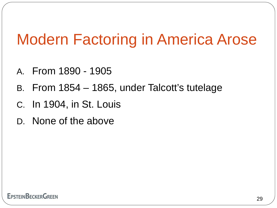# Modern Factoring in America Arose

- A. From 1890 1905
- B. From 1854 1865, under Talcott's tutelage
- C. In 1904, in St. Louis
- D. None of the above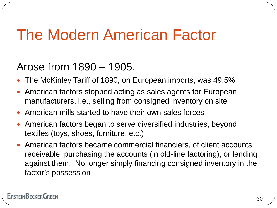# The Modern American Factor

#### Arose from 1890 – 1905.

- The McKinley Tariff of 1890, on European imports, was 49.5%
- American factors stopped acting as sales agents for European manufacturers, i.e., selling from consigned inventory on site
- American mills started to have their own sales forces
- American factors began to serve diversified industries, beyond textiles (toys, shoes, furniture, etc.)
- American factors became commercial financiers, of client accounts receivable, purchasing the accounts (in old-line factoring), or lending against them. No longer simply financing consigned inventory in the factor's possession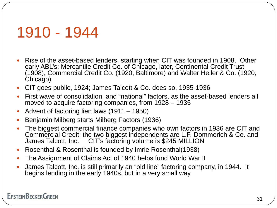### 1910 - 1944

- Rise of the asset-based lenders, starting when CIT was founded in 1908. Other early ABL's: Mercantile Credit Co. of Chicago, later, Continental Credit Trust (1908), Commercial Credit Co. (1920, Baltimore) and Walter Heller & Co. (1920, Chicago)
- CIT goes public, 1924; James Talcott & Co. does so, 1935-1936
- First wave of consolidation, and "national" factors, as the asset-based lenders all moved to acquire factoring companies, from 1928 – 1935
- Advent of factoring lien laws (1911 1950)
- Benjamin Milberg starts Milberg Factors (1936)
- The biggest commercial finance companies who own factors in 1936 are CIT and Commercial Credit; the two biggest independents are L.F. Dommerich & Co. and James Talcott, Inc. CIT's factoring volume is \$245 MILLION
- Rosenthal & Rosenthal is founded by Imrie Rosenthal(1938)
- The Assignment of Claims Act of 1940 helps fund World War II
- James Talcott, Inc. is still primarily an "old line" factoring company, in 1944. It begins lending in the early 1940s, but in a very small way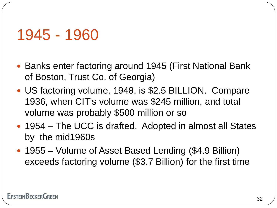### 1945 - 1960

- Banks enter factoring around 1945 (First National Bank of Boston, Trust Co. of Georgia)
- US factoring volume, 1948, is \$2.5 BILLION. Compare 1936, when CIT's volume was \$245 million, and total volume was probably \$500 million or so
- 1954 The UCC is drafted. Adopted in almost all States by the mid1960s
- 1955 Volume of Asset Based Lending (\$4.9 Billion) exceeds factoring volume (\$3.7 Billion) for the first time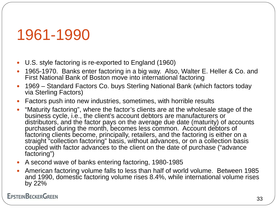### 1961-1990

- U.S. style factoring is re-exported to England (1960)
- 1965-1970. Banks enter factoring in a big way. Also, Walter E. Heller & Co. and First National Bank of Boston move into international factoring
- 1969 Standard Factors Co. buys Sterling National Bank (which factors today via Sterling Factors)
- Factors push into new industries, sometimes, with horrible results
- "Maturity factoring", where the factor's clients are at the wholesale stage of the business cycle, i.e., the client's account debtors are manufacturers or distributors, and the factor pays on the average due date (maturity) of accounts purchased during the month, becomes less common. Account debtors of factoring clients become, principally, retailers, and the factoring is either on a straight "collection factoring" basis, without advances, or on a collection basis coupled with factor advances to the client on the date of purchase ("advance factoring")
- A second wave of banks entering factoring, 1980-1985
- American factoring volume falls to less than half of world volume. Between 1985 and 1990, domestic factoring volume rises 8.4%, while international volume rises by 22%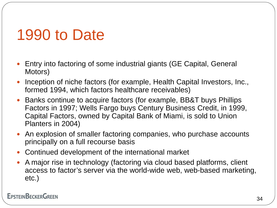# 1990 to Date

- Entry into factoring of some industrial giants (GE Capital, General Motors)
- Inception of niche factors (for example, Health Capital Investors, Inc., formed 1994, which factors healthcare receivables)
- Banks continue to acquire factors (for example, BB&T buys Phillips Factors in 1997; Wells Fargo buys Century Business Credit, in 1999, Capital Factors, owned by Capital Bank of Miami, is sold to Union Planters in 2004)
- An explosion of smaller factoring companies, who purchase accounts principally on a full recourse basis
- Continued development of the international market
- A major rise in technology (factoring via cloud based platforms, client access to factor's server via the world-wide web, web-based marketing, etc.)